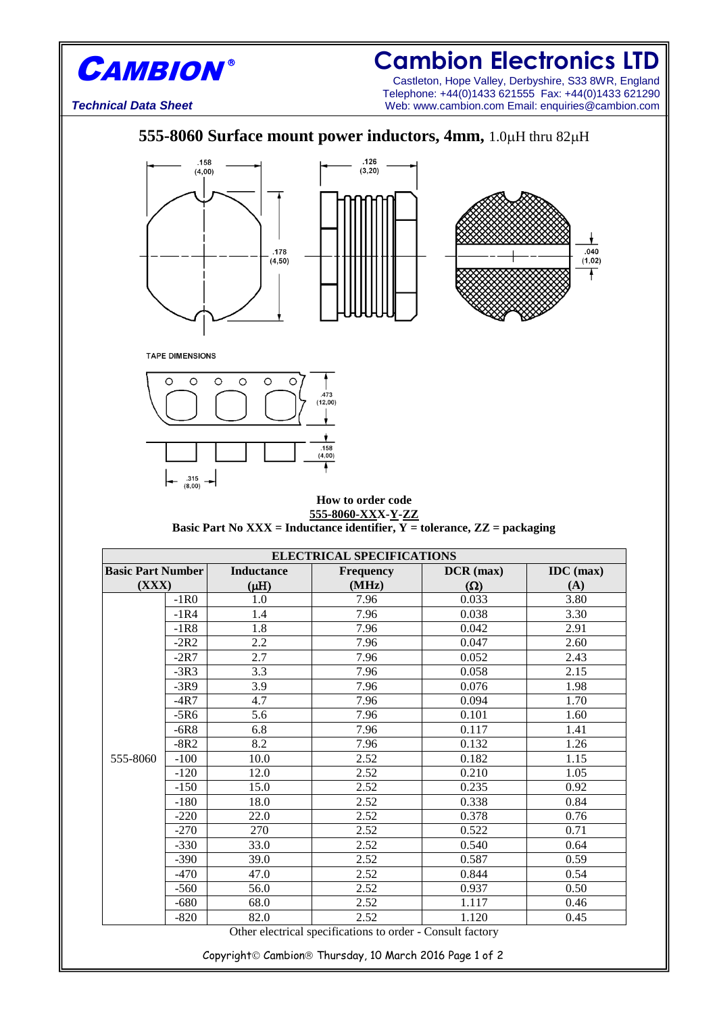

## **Cambion Electronics LTD**

Castleton, Hope Valley, Derbyshire, S33 8WR, England Telephone: +44(0)1433 621555 Fax: +44(0)1433 621290 *Technical Data Sheet* Web: www.cambion.com Email: enquiries@cambion.com

## **555-8060 Surface mount power inductors, 4mm, 1.0 µH thru 82 µH**





**TAPE DIMENSIONS** 



## **How to order code 555-8060-XXX-Y-ZZ Basic Part No XXX = Inductance identifier,**  $\overline{Y}$  **= tolerance, ZZ = packaging**

| <b>ELECTRICAL SPECIFICATIONS</b> |        |                   |                                                            |             |             |  |
|----------------------------------|--------|-------------------|------------------------------------------------------------|-------------|-------------|--|
| <b>Basic Part Number</b>         |        | <b>Inductance</b> | <b>Frequency</b>                                           | $DCR$ (max) | $IDC$ (max) |  |
| (XXX)                            |        | $(\mu H)$         | (MHz)                                                      | $(\Omega)$  | (A)         |  |
| 555-8060                         | $-1R0$ | 1.0               | 7.96                                                       | 0.033       | 3.80        |  |
|                                  | $-1R4$ | 1.4               | 7.96                                                       | 0.038       | 3.30        |  |
|                                  | $-1R8$ | 1.8               | 7.96                                                       | 0.042       | 2.91        |  |
|                                  | $-2R2$ | 2.2               | 7.96                                                       | 0.047       | 2.60        |  |
|                                  | $-2R7$ | 2.7               | 7.96                                                       | 0.052       | 2.43        |  |
|                                  | $-3R3$ | 3.3               | 7.96                                                       | 0.058       | 2.15        |  |
|                                  | $-3R9$ | 3.9               | 7.96                                                       | 0.076       | 1.98        |  |
|                                  | $-4R7$ | 4.7               | 7.96                                                       | 0.094       | 1.70        |  |
|                                  | $-5R6$ | 5.6               | 7.96                                                       | 0.101       | 1.60        |  |
|                                  | $-6R8$ | 6.8               | 7.96                                                       | 0.117       | 1.41        |  |
|                                  | $-8R2$ | 8.2               | 7.96                                                       | 0.132       | 1.26        |  |
|                                  | $-100$ | 10.0              | 2.52                                                       | 0.182       | 1.15        |  |
|                                  | $-120$ | 12.0              | 2.52                                                       | 0.210       | 1.05        |  |
|                                  | $-150$ | 15.0              | 2.52                                                       | 0.235       | 0.92        |  |
|                                  | $-180$ | 18.0              | 2.52                                                       | 0.338       | 0.84        |  |
|                                  | $-220$ | 22.0              | 2.52                                                       | 0.378       | 0.76        |  |
|                                  | $-270$ | 270               | 2.52                                                       | 0.522       | 0.71        |  |
|                                  | $-330$ | 33.0              | 2.52                                                       | 0.540       | 0.64        |  |
|                                  | $-390$ | 39.0              | 2.52                                                       | 0.587       | 0.59        |  |
|                                  | $-470$ | 47.0              | 2.52                                                       | 0.844       | 0.54        |  |
|                                  | $-560$ | 56.0              | 2.52                                                       | 0.937       | 0.50        |  |
|                                  | $-680$ | 68.0              | 2.52                                                       | 1.117       | 0.46        |  |
|                                  | $-820$ | 82.0              | 2.52                                                       | 1.120       | 0.45        |  |
|                                  |        |                   | Other electrical specifications to order - Consult factory |             |             |  |

Copyright Cambion<sup>®</sup> Thursday, 10 March 2016 Page 1 of 2